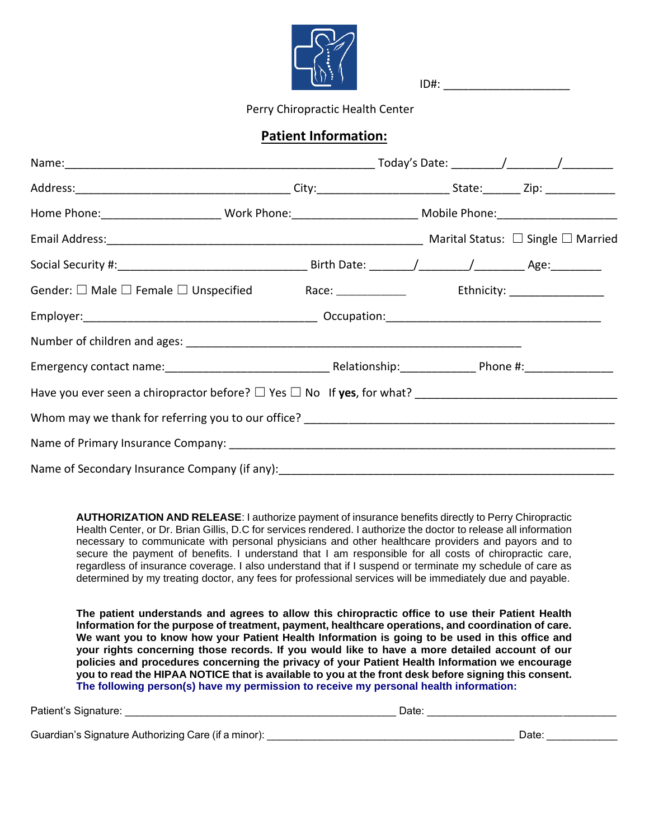

 $ID#$ :

Perry Chiropractic Health Center

#### **Patient Information:**

| Home Phone: ____________________________Work Phone: _____________________________ Mobile Phone: ____________________ |  |
|----------------------------------------------------------------------------------------------------------------------|--|
|                                                                                                                      |  |
|                                                                                                                      |  |
|                                                                                                                      |  |
|                                                                                                                      |  |
|                                                                                                                      |  |
|                                                                                                                      |  |
|                                                                                                                      |  |
|                                                                                                                      |  |
|                                                                                                                      |  |
| Name of Secondary Insurance Company (if any): __________________________________                                     |  |

**AUTHORIZATION AND RELEASE**: I authorize payment of insurance benefits directly to Perry Chiropractic Health Center, or Dr. Brian Gillis, D.C for services rendered. I authorize the doctor to release all information necessary to communicate with personal physicians and other healthcare providers and payors and to secure the payment of benefits. I understand that I am responsible for all costs of chiropractic care, regardless of insurance coverage. I also understand that if I suspend or terminate my schedule of care as determined by my treating doctor, any fees for professional services will be immediately due and payable.

**The patient understands and agrees to allow this chiropractic office to use their Patient Health Information for the purpose of treatment, payment, healthcare operations, and coordination of care. We want you to know how your Patient Health Information is going to be used in this office and your rights concerning those records. If you would like to have a more detailed account of our policies and procedures concerning the privacy of your Patient Health Information we encourage you to read the HIPAA NOTICE that is available to you at the front desk before signing this consent. The following person(s) have my permission to receive my personal health information:**

| Patient's Signature:                                | Date: |      |
|-----------------------------------------------------|-------|------|
| Guardian's Signature Authorizing Care (if a minor): |       | Date |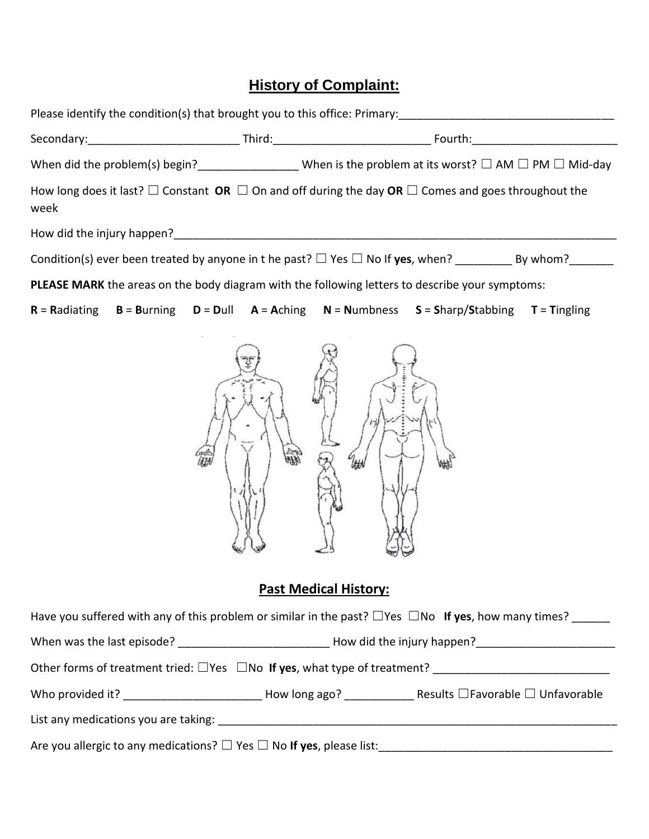# **History of Complaint:**

|      |  |  |   | Please identify the condition(s) that brought you to this office: Primary: ___________________________________           |  |
|------|--|--|---|--------------------------------------------------------------------------------------------------------------------------|--|
|      |  |  |   |                                                                                                                          |  |
|      |  |  |   | When did the problem(s) begin?_____________________ When is the problem at its worst? $\Box$ AM $\Box$ PM $\Box$ Mid-day |  |
| week |  |  |   | How long does it last? $\Box$ Constant OR $\Box$ On and off during the day OR $\Box$ Comes and goes throughout the       |  |
|      |  |  |   |                                                                                                                          |  |
|      |  |  |   |                                                                                                                          |  |
|      |  |  |   | PLEASE MARK the areas on the body diagram with the following letters to describe your symptoms:                          |  |
|      |  |  |   | $R =$ Radiating $B =$ Burning $D =$ Dull $A =$ Aching $N =$ Numbness $S =$ Sharp/Stabbing $T =$ Tingling                 |  |
|      |  |  | 坳 |                                                                                                                          |  |

# **Past Medical History:**

| Have you suffered with any of this problem or similar in the past? $\Box$ Yes $\Box$ No If yes, how many times? |                            |  |  |
|-----------------------------------------------------------------------------------------------------------------|----------------------------|--|--|
|                                                                                                                 | How did the injury happen? |  |  |
| Other forms of treatment tried: $\Box$ Yes $\Box$ No If yes, what type of treatment?                            |                            |  |  |
| Who provided it? $\blacksquare$ How long ago? Results $\square$ Favorable $\square$ Unfavorable                 |                            |  |  |
| List any medications you are taking:                                                                            |                            |  |  |
| Are you allergic to any medications? $\Box$ Yes $\Box$ No If yes, please list:                                  |                            |  |  |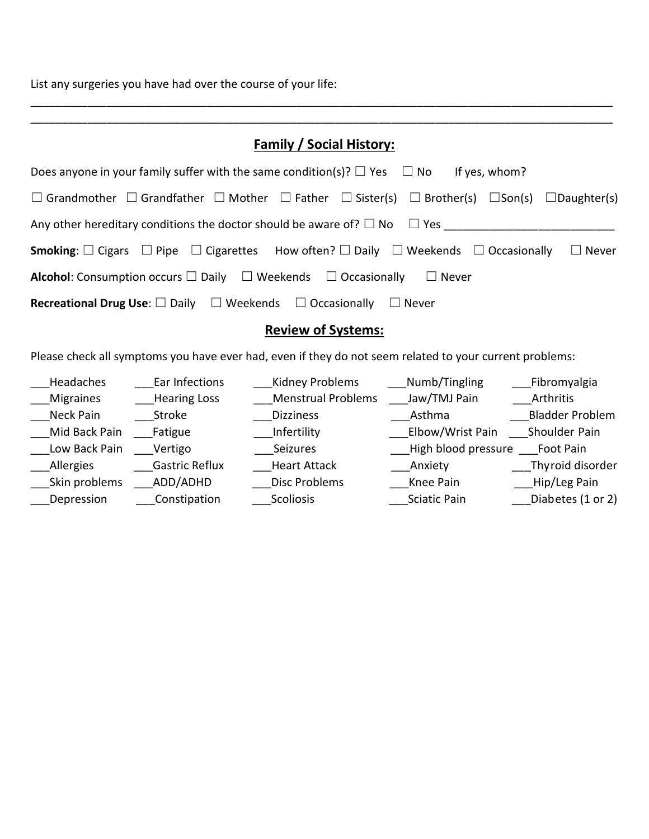List any surgeries you have had over the course of your life:

| <b>Family / Social History:</b>                                                                                                                                    |  |  |
|--------------------------------------------------------------------------------------------------------------------------------------------------------------------|--|--|
| Does anyone in your family suffer with the same condition(s)? $\Box$ Yes $\Box$ No<br>If yes, whom?                                                                |  |  |
| $\square$ Grandmother $\square$ Grandfather $\square$ Mother $\square$ Father $\square$ Sister(s) $\square$ Brother(s) $\square$ Son(s) $\square$ Daughter(s)      |  |  |
| Any other hereditary conditions the doctor should be aware of? $\Box$ No $\Box$ Yes                                                                                |  |  |
| <b>Smoking</b> : $\square$ Cigars $\;\square$ Pipe $\;\square$ Cigarettes How often? $\square$ Daily $\;\square$ Weekends $\;\square$ Occasionally<br>$\Box$ Never |  |  |
| <b>Alcohol</b> : Consumption occurs $\Box$ Daily $\Box$ Weekends $\Box$ Occasionally $\Box$ Never                                                                  |  |  |
| <b>Recreational Drug Use</b> : $\square$ Daily $\square$ Weekends $\square$ Occasionally $\square$ Never                                                           |  |  |
| <b>Review of Systems:</b>                                                                                                                                          |  |  |

\_\_\_\_\_\_\_\_\_\_\_\_\_\_\_\_\_\_\_\_\_\_\_\_\_\_\_\_\_\_\_\_\_\_\_\_\_\_\_\_\_\_\_\_\_\_\_\_\_\_\_\_\_\_\_\_\_\_\_\_\_\_\_\_\_\_\_\_\_\_\_\_\_\_\_\_\_\_\_\_\_\_\_\_\_\_\_\_\_\_\_\_ \_\_\_\_\_\_\_\_\_\_\_\_\_\_\_\_\_\_\_\_\_\_\_\_\_\_\_\_\_\_\_\_\_\_\_\_\_\_\_\_\_\_\_\_\_\_\_\_\_\_\_\_\_\_\_\_\_\_\_\_\_\_\_\_\_\_\_\_\_\_\_\_\_\_\_\_\_\_\_\_\_\_\_\_\_\_\_\_\_\_\_\_

## Please check all symptoms you have ever had, even if they do not seem related to your current problems:

| Headaches        | Ear Infections        | <b>Kidney Problems</b>    | Numb/Tingling       | Fibromyalgia           |
|------------------|-----------------------|---------------------------|---------------------|------------------------|
| <b>Migraines</b> | <b>Hearing Loss</b>   | <b>Menstrual Problems</b> | Jaw/TMJ Pain        | Arthritis              |
| Neck Pain        | <b>Stroke</b>         | <b>Dizziness</b>          | Asthma              | <b>Bladder Problem</b> |
| Mid Back Pain    | Fatigue               | Infertility               | Elbow/Wrist Pain    | Shoulder Pain          |
| Low Back Pain    | Vertigo               | Seizures                  | High blood pressure | Foot Pain              |
| Allergies        | <b>Gastric Reflux</b> | <b>Heart Attack</b>       | Anxiety             | Thyroid disorder       |
| Skin problems    | ADD/ADHD              | <b>Disc Problems</b>      | Knee Pain           | Hip/Leg Pain           |
| Depression       | Constipation          | <b>Scoliosis</b>          | <b>Sciatic Pain</b> | Diabetes (1 or 2)      |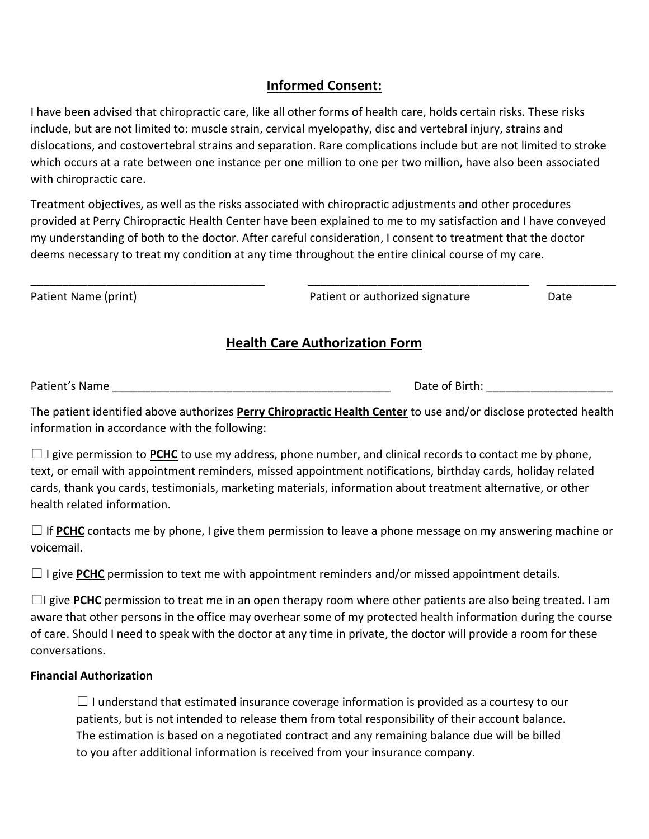## **Informed Consent:**

I have been advised that chiropractic care, like all other forms of health care, holds certain risks. These risks include, but are not limited to: muscle strain, cervical myelopathy, disc and vertebral injury, strains and dislocations, and costovertebral strains and separation. Rare complications include but are not limited to stroke which occurs at a rate between one instance per one million to one per two million, have also been associated with chiropractic care.

Treatment objectives, as well as the risks associated with chiropractic adjustments and other procedures provided at Perry Chiropractic Health Center have been explained to me to my satisfaction and I have conveyed my understanding of both to the doctor. After careful consideration, I consent to treatment that the doctor deems necessary to treat my condition at any time throughout the entire clinical course of my care.

| Patient Name (print) | Patient or authorized signature | Date |
|----------------------|---------------------------------|------|
|                      |                                 |      |

### **Health Care Authorization Form**

Patient's Name \_\_\_\_\_\_\_\_\_\_\_\_\_\_\_\_\_\_\_\_\_\_\_\_\_\_\_\_\_\_\_\_\_\_\_\_\_\_\_\_\_\_\_\_ Date of Birth: \_\_\_\_\_\_\_\_\_\_\_\_\_\_\_\_\_\_\_\_

The patient identified above authorizes **Perry Chiropractic Health Center** to use and/or disclose protected health information in accordance with the following:

 $\Box$  I give permission to **PCHC** to use my address, phone number, and clinical records to contact me by phone, text, or email with appointment reminders, missed appointment notifications, birthday cards, holiday related cards, thank you cards, testimonials, marketing materials, information about treatment alternative, or other health related information.

 $\Box$  If PCHC contacts me by phone, I give them permission to leave a phone message on my answering machine or voicemail.

 $\Box$  I give PCHC permission to text me with appointment reminders and/or missed appointment details.

□I give PCHC permission to treat me in an open therapy room where other patients are also being treated. I am aware that other persons in the office may overhear some of my protected health information during the course of care. Should I need to speak with the doctor at any time in private, the doctor will provide a room for these conversations.

### **Financial Authorization**

 $\Box$  I understand that estimated insurance coverage information is provided as a courtesy to our patients, but is not intended to release them from total responsibility of their account balance. The estimation is based on a negotiated contract and any remaining balance due will be billed to you after additional information is received from your insurance company.